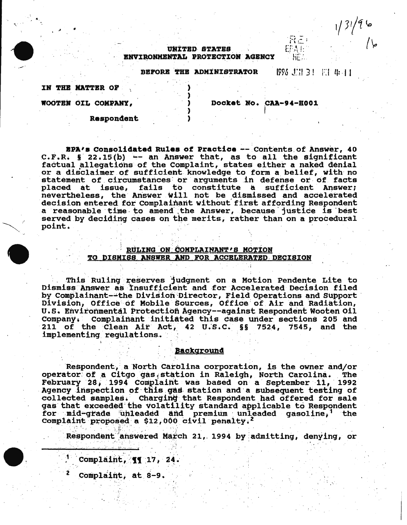# **UNITED STATES** ENVIRONMENTAL PROTECTION AGENCY

BEFORE THE ADMINISTRATOR

1996 志昌 3! 王仁 4:41

EFA E

He

 $1/3/96$ 

IN THE MATTER OF

WOOTEN OIL COMPANY,

Docket No. CAA-94-H001

Respondent

EPA's Consolidated Rules of Practice -- Contents of Answer, 40  $c.F.R.$  § 22.15(b) -- an Answer that, as to all the significant factual allegations of the Complaint, states either a naked denial or a disclaimer of sufficient knowledge to form a belief, with no statement of circumstances or arguments in defense or of facts placed at issue, fails to constitute a sufficient Answer; nevertheless, the Answer will not be dismissed and accelerated decision entered for Complainant without first affording Respondent a reasonable time to amend the Answer, because justice is best served by deciding cases on the merits, rather than on a procedural point.

# RULING ON COMPLAINANT'S MOTION TO DISMISS ANSWER AND FOR ACCELERATED DECISION

This Ruling reserves judgment on a Motion Pendente Lite to<br>Dismiss Answer as Insufficient and for Accelerated Decision filed by Complainant--the Division Director, Field Operations and Support Division, Office of Mobile Sources, Office of Air and Radiation, U.S. Environmental Protection Agency--against Respondent Wooten Oil Company. Complainant initiated this case under sections 205 and 211 of the Clean Air Act, 42 U.S.C.  $\S$ § 7524, 7545, and the implementing regulations.

### **Background**

Respondent, a North Carolina corporation, is the owner and/or operator of a Citgo gas station in Raleigh, North Carolina. The February 28, 1994 Complaint was based on a September 11, 1992 Agency inspection of this gas station and a subsequent testing of collected samples. Charging that Respondent had offered for sale gas that exceeded the volatility standard applicable to Respondent for mid-grade unleaded and premium unleaded gasoline,<sup>1</sup> the Complaint proposed a \$12,000 civil penalty.<sup>2</sup>

Respondent answered March 21, 1994 by admitting, denying, or

Complaint, 11, 24.

Complaint, at 8-9.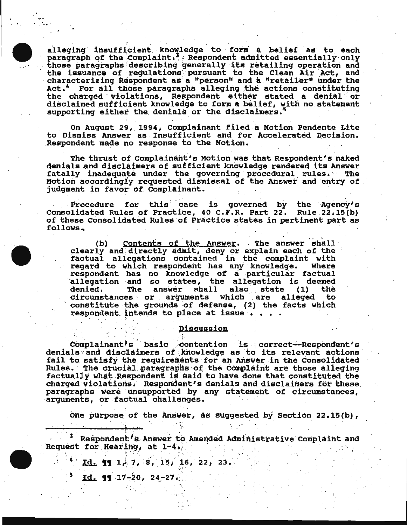alleging insufficient knowledge to form a belief as to each paragraph of the Complaint.<sup>3</sup> Respondent admitted essentially only those paragraphs describing generally its retailing operation and<br>the issuance of regulations pursuant to the Clean Air Act, and<br>characterizing Respondent as a "person" and a "retailer" under the Act.' For all those paragraphs alleging the actions constituting the charged violations, Respondent either stated a denial or disclaimed sufficient knowledge to form a belief, with no statement supporting either the denials or the disclaimers.<sup>5</sup>

On August 29, 1994, Complainant filed a Motion Pendente Lite to Dismiss Answer as Insufficient and for Accelerated Decision. Respondent made no response to the Motion.

The thrust of Complainant's Motion was that Respondent's naked denials and disclaimers of sufficient knowledge rendered its Answer fatally inadequate under the governing procedural rules. The Motion accordingly requested dismissal of the Answer and entry of judgment in favor of Complainant.

Procedure for this case is governed by the Agency's Consolidated Rules of Practice, 40 C.F.R. Part 22. Rule 22.15(b) of these Consolidated Rules of Practice states in pertinent part as follows.



Contents of the Answer. The answer shall  $(b)$ clearly and directly admit, deny or explain each of the<br>factual allegations contained in the complaint with regard to which respondent has any knowledge. Where respondent has no knowledge of a particular factual allegation and so states, the allegation is deemed denied. The answer shall also state (1) the. circumstances or arguments which are alleged to. constitute the grounds of defense, (2) the facts which respondent intends to place at issue .

# **Discussion**

Complainant's basic contention is correct--Respondent's denials and disclaimers of knowledge as to its relevant actions fail to satisfy the requirements for an Answer in the Consolidated Rules. The crucial paragraphs of the Complaint are those alleging factually what Respondent is said to have done that constituted the charged violations. Respondent's denials and disclaimers for these paragraphs were unsupported by any statement of circumstances, arguments, or factual challenges.

One purpose of the Answer, as suggested by Section 22.15(b),

<sup>3</sup> Respondent's Answer to Amended Administrative Complaint and **Request for Hearing, at 1-4.** 

Id. 11  $1/7$ , 8, 15, 16, 22, 23.

 $Id.$  11  $17-20$ ,  $24-27$ .